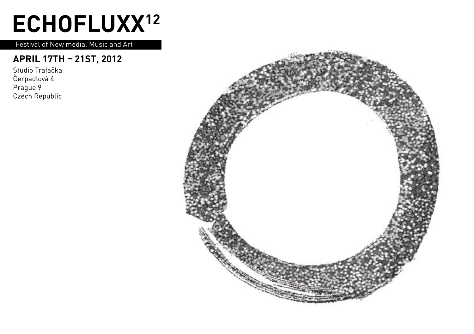## **ECHOFLUXX12**

Festival of New media, Music and Art

#### **April 17th – 21st, 2012**

Studio Trafačka Čerpadlová 4 Prague 9 Czech Republic

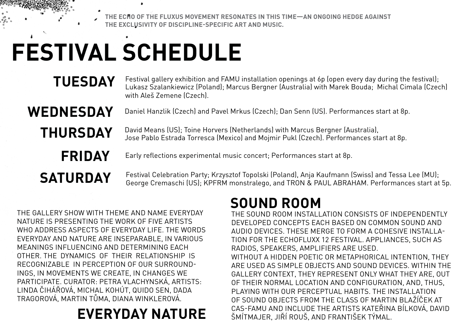**The echo of the Fluxus movement resonates in this time—an ongoing hedge against the exclusivity of discipline-specific art and music.**

## **FESTIVAL SCHEDULE**

### **Tuesday**

Festival gallery exhibition and FAMU installation openings at 6p (open every day during the festival); Lukasz Szalankiewicz (Poland); Marcus Bergner (Australia) with Marek Bouda; Michal Cimala (Czech) with Aleš Zemene (Czech).

#### Daniel Hanzlik (Czech) and Pavel Mrkus (Czech); Dan Senn (US). Performances start at 8p.

#### David Means (US); Toine Horvers (Netherlands) with Marcus Bergner (Australia), Jose Pablo Estrada Torresca (Mexico) and Mojmir Pukl (Czech). Performances start at 8p.

**Friday Saturday**

**Thursday**

**Wednesday**

Early reflections experimental music concert; Performances start at 8p.

Festival Celebration Party; Krzysztof Topolski (Poland), Anja Kaufmann (Swiss) and Tessa Lee (MU); George Cremaschi (US); KPFRM monstralego, and TRON & PAUL ABRAHAM. Performances start at 5p.

The gallery show with theme and name Everyday Nature is presenting the work of five artists who address aspects of everyday life. The words Everyday and Nature are inseparable, in varIous meanings influencing and determining each other. The dynamics of their relationship is recognizable in perception of our surroundings, in movements we create, in changes we participate. Curator: Petra Vlachynská, Artists: Linda Čihářová, Michal Kohút, Quido Sen, Dada Tragorová, Martin Tůma, Diana Winklerová.

### **EVERYDAY NATURE**

### **Sound room**

The Sound Room installation consists of independently developed concepts each based on common sound and audio devices. These merge to form a cohesive installation for the Echofluxx 12 festival. Appliances, such as radios, speakers, amplifiers are used. Without a hidden poetic or metaphorical intention, they are used as simple objects and sound devices. Within the gallery context, they represent only what they are, out of their normal location and configuration, and, thus, playing with our perceptual habits. The installation of sound objects from the class of Martin Blažíček at CAS-FAMU and include the artists Kateřina Bílková, David Šmítmajer, Jiří Rouš, and František Týmal.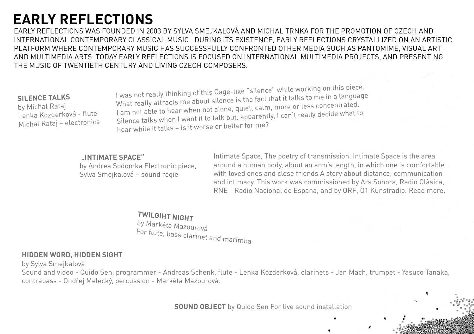### **early reflections**

early reflections was founded in 2003 by Sylva Smejkalová and Michal Trnka for the promotion of Czech and international contemporary classical music. During its existence, early reflections crystallized on an artistic platform where contemporary music has successfully confronted other media such as pantomime, visual art and multimedia arts. Today early reflections is focused on international multimedia projects, and presenting the music of Twentieth Century and living Czech composers.

#### **Silence Talks**

by Michal Rataj Lenka Kozderková - flute Michal Rataj – electronics I was not really thinking of this Cage-like "silence" while working on this piece. What really attracts me about silence is the fact that it talks to me in a language I am not able to hear when not alone, quiet, calm, more or less concentrated. Silence talks when I want it to talk but, apparently, I can't really decide what to hear while it talks – is it worse or better for me?

#### **"Intimate Space"**

by Andrea Sodomka Electronic piece, Sylva Smejkalová – sound regie

Intimate Space, The poetry of transmission. Intimate Space is the area around a human body, about an arm's length, in which one is comfortable with loved ones and close friends A story about distance, communication and intimacy. This work was commissioned by Ars Sonora, Radio Clàsica, RNE - Radio Nacional de Espana, and by ORF, Ö1 Kunstradio. Read more.

**Twilgiht Night**

by Markéta Mazourová For flute, bass clarinet and marimba

#### **hidden word, hidden sight**

by Sylva Smejkalová

Sound and video - Quido Sen, programmer - Andreas Schenk, flute - Lenka Kozderková, clarinets - Jan Mach, trumpet - Yasuco Tanaka, contrabass - Ondřej Melecký, percussion - Markéta Mazourová.

**SOUND OBJECT** by Quido Sen For live sound installation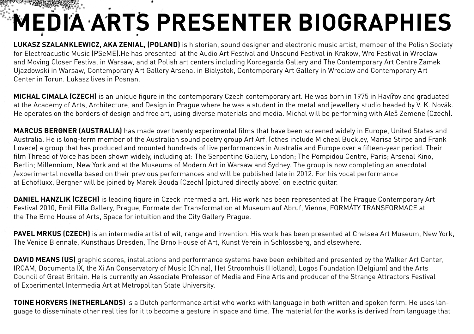# **Media Arts Presenter biographies**

**Lukasz Szalanklewicz, aka Zenial, (Poland)** is historian, sound designer and electronic music artist, member of the Polish Society for Electroacustic Music (PSeME).He has presented at the Audio Art Festival and Unsound Festival in Krakow, Wro Festival in Wroclaw and Moving Closer Festival in Warsaw, and at Polish art centers including Kordegarda Gallery and The Contemporary Art Centre Zamek Ujazdowski in Warsaw, Contemporary Art Gallery Arsenal in Bialystok, Contemporary Art Gallery in Wroclaw and Contemporary Art Center in Torun. Lukasz lives in Posnan.

**Michal Cimala (Czech)** is an unique figure in the contemporary Czech contemporary art. He was born in 1975 in Havířov and graduated at the Academy of Arts, Architecture, and Design in Prague where he was a student in the metal and jewellery studio headed by V. K. Novák. He operates on the borders of design and free art, using diverse materials and media. Michal will be performing with Aleš Zemene (Czech).

**Marcus Bergner (Australia)** has made over twenty experimental films that have been screened widely in Europe, United States and Australia. He is long-term member of the Australian sound poetry group Arf Arf, (othes include Micheal Buckley, Marisa Stirpe and Frank Lovece) a group that has produced and mounted hundreds of live performances in Australia and Europe over a fifteen-year period. Their film Thread of Voice has been shown widely, including at: The Serpentine Gallery, London; The Pompidou Centre, Paris; Arsenal Kino, Berlin; Millennium, New York and at the Museums of Modern Art in Warsaw and Sydney. The group is now completing an anecdotal /experimental novella based on their previous performances and will be published late in 2012. For his vocal performance at Echofluxx, Bergner will be joined by Marek Bouda (Czech) (pictured directly above) on electric guitar.

**Daniel Hanzlik (Czech)** is leading figure in Czeck intermedia art. His work has been represented at The Prague Contemporary Art Festival 2010, Emil Filla Gallery, Prague, Formate der Transformation at Museum auf Abruf, Vienna, FORMÁTY TRANSFORMACE at the The Brno House of Arts, Space for intuition and the City Gallery Prague.

**Pavel Mrkus (Czech)** is an intermedia artist of wit, range and invention. His work has been presented at Chelsea Art Museum, New York, The Venice Biennale, Kunsthaus Dresden, The Brno House of Art, Kunst Verein in Schlossberg, and elsewhere.

**DAVID MEANS (US)** graphic scores, installations and performance systems have been exhibited and presented by the Walker Art Center, IRCAM, Documenta IX, the Xi An Conservatory of Music (China), Het Stroomhuis (Holland), Logos Foundation (Belgium) and the Arts Council of Great Britain. He is currently an Associate Professor of Media and Fine Arts and producer of the Strange Attractors Festival of Experimental Intermedia Art at Metropolitan State University.

**TOINE HORVERS (NETHERLANDS)** is a Dutch performance artist who works with language in both written and spoken form. He uses language to disseminate other realities for it to become a gesture in space and time. The material for the works is derived from language that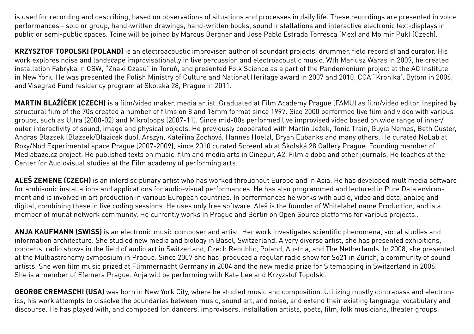is used for recording and describing, based on observations of situations and processes in daily life. These recordings are presented in voice performances - solo or group, hand-written drawings, hand-written books, sound installations and interactive electronic text-displays in public or semi-public spaces. Toine will be joined by Marcus Bergner and Jose Pablo Estrada Torresca (Mex) and Mojmir Pukl (Czech).

**Krzysztof Topolski (Poland)** is an electroacoustic improviser, author of soundart projects, drummer, field recordist and curator. His work explores noise and landscape improvisationally in live percussion and electroacoustic music. Wth Mariusz Waras in 2009, he created installation Fabryka in CSW, "Znaki Czasu" in Toruń, and presented Folk Science as a part of the Pandemonium project at the AC Institute in New York. He was presented the Polish Ministry of Culture and National Heritage award in 2007 and 2010, CCA "Kronika', Bytom in 2006, and Visegrad Fund residency program at Skolska 28, Prague in 2011.

**Martin Blažíček (Czech)** is a film/video maker, media artist. Graduated at Film Academy Prague (FAMU) as film/video editor. Inspired by structural film of the 70s created a number of films on 8 and 16mm format since 1997. Sice 2000 performed live film and video with various groups, such as Ultra (2000-02) and Mikroloops (2007-11). Since mid-00s performed live improvised video based on wide range of inner/ outer interactivity of sound, image and physical objects. He previously cooperated with Martin Ježek, Tonic Train, Guyla Nemes, Beth Custer, Andras Blazsek (Blazsek/Blazicek duo), Arszyn, Kateřina Zochová, Hannes Hoelzl, Bryan Eubanks and many others. He curated NoLab at Roxy/Nod Experimental space Prague (2007-2009), since 2010 curated ScreenLab at Školská 28 Gallery Prague. Founding mamber of Mediabaze.cz project. He published texts on music, film and media arts in Cinepur, A2, Film a doba and other journals. He teaches at the Center for Audiovisual studies at the Film academy of performing arts.

ALES ZEMENE (CZECH) is an interdisciplinary artist who has worked throughout Europe and in Asia. He has developed multimedia software for ambisonic installations and applications for audio-visual performances. He has also programmed and lectured in Pure Data environment and is involved in art production in various European countries. In performances he works with audio, video and data, analog and digital, combining these in live coding sessions. He uses only free software. Aleš is the founder of Whitelabel.name Production, and is a member of mur.at network community. He currently works in Prague and Berlin on Open Source platforms for various projects..

**Anja Kaufmann (Swiss)** is an electronic music composer and artist. Her work investigates scientific phenomena, social studies and information architecture. She studied new media and biology in Basel, Switzerland. A very diverse artist, she has presented exhibitions, concerts, radio shows in the field of audio art in Switzerland, Czech Republic, Poland, Austria, and The Netherlands. In 2008, she presented at the Multiastronomy symposium in Prague. Since 2007 she has produced a regular radio show for So21 in Zürich, a community of sound artists. She won film music prized at Flimmernacht Germany in 2004 and the new media prize for Sitemapping in Switzerland in 2006. She is a member of Efemera Prague. Anja will be performing with Kate Lee and Krzyzstof Topolski.

**GEORGE CREMASCHI (USA)** was born in New York City, where he studied music and composition. Utilizing mostly contrabass and electronics, his work attempts to dissolve the boundaries between music, sound art, and noise, and extend their existing language, vocabulary and discourse. He has played with, and composed for, dancers, improvisers, installation artists, poets, film, folk musicians, theater groups,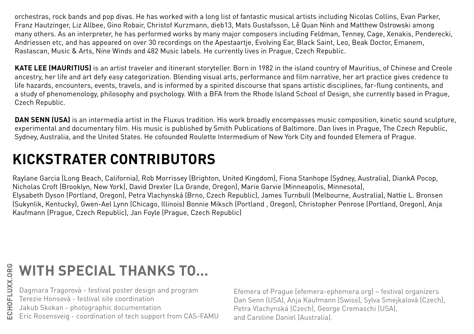orchestras, rock bands and pop divas. He has worked with a long list of fantastic musical artists including Nicolas Collins, Evan Parker, Franz Hautzinger, Liz Allbee, Gino Robair, Christof Kurzmann, dieb13, Mats Gustafsson, Lê Quan Ninh and Matthew Ostrowski among many others. As an interpreter, he has performed works by many major composers including Feldman, Tenney, Cage, Xenakis, Penderecki, Andriessen etc, and has appeared on over 30 recordings on the Apestaartje, Evolving Ear, Black Saint, Leo, Beak Doctor, Emanem, Rastascan, Music & Arts, Nine Winds and 482 Music labels. He currently lives in Prague, Czech Republic.

**KATE LEE (MAURITIUS)** is an artist traveler and itinerant storyteller. Born in 1982 in the island country of Mauritius, of Chinese and Creole ancestry, her life and art defy easy categorization. Blending visual arts, performance and film narrative, her art practice gives credence to life hazards, encounters, events, travels, and is informed by a spirited discourse that spans artistic disciplines, far-flung continents, and a study of phenomenology, philosophy and psychology. With a BFA from the Rhode Island School of Design, she currently based in Prague, Czech Republic.

**DAN SENN (USA)** is an intermedia artist in the Fluxus tradition. His work broadly encompasses music composition, kinetic sound sculpture, experimental and documentary film. His music is published by Smith Publications of Baltimore. Dan lives in Prague, The Czech Republic, Sydney, Australia, and the United States. He cofounded Roulette Intermedium of New York City and founded Efemera of Prague.

### **Kickstrater Contributors**

Raylane Garcia (Long Beach, California), Rob Morrissey (Brighton, United Kingdom), Fiona Stanhope (Sydney, Australia), DiankA Pocop, Nicholas Croft (Brooklyn, New York), David Drexler (La Grande, Oregon), Marie Garvie (Minneapolis, Minnesota), Elysabeth Dyson (Portland, Oregon), Petra Vlachynská (Brno, Czech Republic), James Turnbull (Melbourne, Australia), Nattie L. Bronsen (Sukynlik, Kentucky), Gwen-Ael Lynn (Chicago, Illinois) Bonnie Miksch (Portland , Oregon), Christopher Penrose (Portland, Oregon), Anja Kaufmann (Prague, Czech Republic), Jan Foyle (Prague, Czech Republic)

### **With Special Thanks to...**

Dagmara Tragorová - festival poster design and program

Terezie Honsová - festival site coordination

Jakub Skokan - photographic documentation

Eric Rosensveig - coordination of tech support from CAS-FAMU

Efemera of Prague (efemera-ephemera.org) – festival organizers Dan Senn (USA), Anja Kaufmann (Swiss), Sylva Smejkalová (Czech), Petra Vlachynská (Czech), George Cremaschi (USA), and Caroline Daniel (Australia).